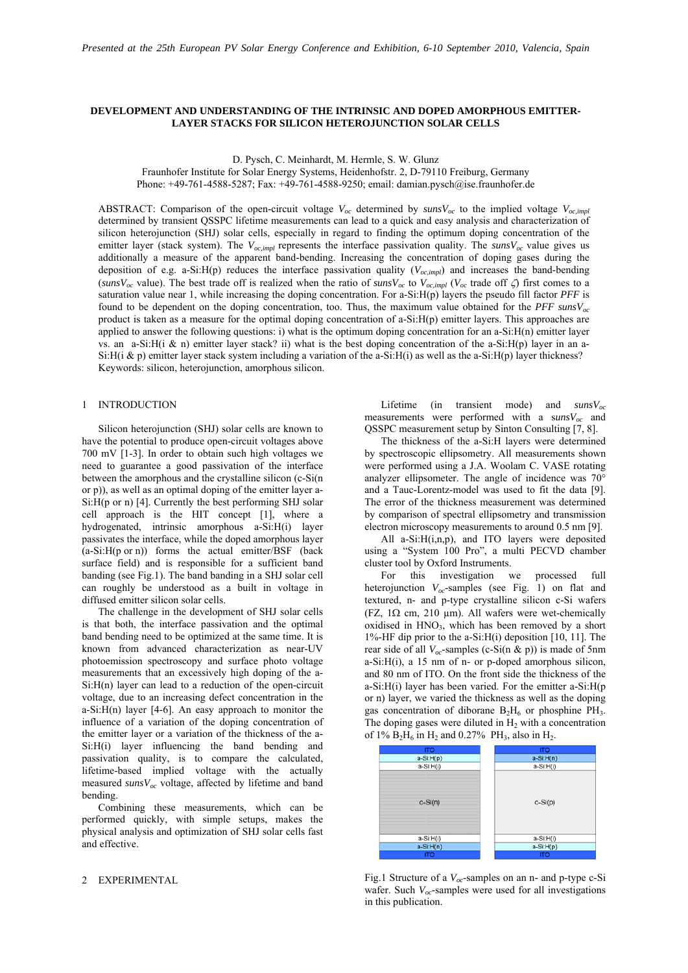# **DEVELOPMENT AND UNDERSTANDING OF THE INTRINSIC AND DOPED AMORPHOUS EMITTER-LAYER STACKS FOR SILICON HETEROJUNCTION SOLAR CELLS**

D. Pysch, C. Meinhardt, M. Hermle, S. W. Glunz

Fraunhofer Institute for Solar Energy Systems, Heidenhofstr. 2, D-79110 Freiburg, Germany Phone: +49-761-4588-5287; Fax: +49-761-4588-9250; email: damian.pysch@ise.fraunhofer.de

ABSTRACT: Comparison of the open-circuit voltage  $V_{oc}$  determined by  $\textit{sunsV}_{oc}$  to the implied voltage  $V_{oc,\textit{imm}}$ determined by transient QSSPC lifetime measurements can lead to a quick and easy analysis and characterization of silicon heterojunction (SHJ) solar cells, especially in regard to finding the optimum doping concentration of the emitter layer (stack system). The  $V_{oc,impl}$  represents the interface passivation quality. The *sunsV<sub>oc</sub>* value gives us additionally a measure of the apparent band-bending. Increasing the concentration of doping gases during the deposition of e.g. a-Si:H(p) reduces the interface passivation quality (*Voc,impl*) and increases the band-bending (*sunsVoc* value). The best trade off is realized when the ratio of *sunsVoc* to *Voc,impl* (*Voc* trade off ζ) first comes to a saturation value near 1, while increasing the doping concentration. For a-Si:H(p) layers the pseudo fill factor *PFF* is found to be dependent on the doping concentration, too. Thus, the maximum value obtained for the *PFF sunsVoc* product is taken as a measure for the optimal doping concentration of a-Si:H(p) emitter layers. This approaches are applied to answer the following questions: i) what is the optimum doping concentration for an  $a-Si:H(n)$  emitter layer vs. an a-Si:H(i & n) emitter layer stack? ii) what is the best doping concentration of the a-Si:H(p) layer in an a-Si:H(i & p) emitter layer stack system including a variation of the a-Si:H(i) as well as the a-Si:H(p) layer thickness? Keywords: silicon, heterojunction, amorphous silicon.

## 1 INTRODUCTION

Silicon heterojunction (SHJ) solar cells are known to have the potential to produce open-circuit voltages above 700 mV [1-3]. In order to obtain such high voltages we need to guarantee a good passivation of the interface between the amorphous and the crystalline silicon (c-Si(n or p)), as well as an optimal doping of the emitter layer a- $Si:H(p \text{ or } n)$  [4]. Currently the best performing SHJ solar cell approach is the HIT concept [1], where a hydrogenated, intrinsic amorphous a-Si:H(i) layer passivates the interface, while the doped amorphous layer  $(a-Si: H(p \text{ or } n))$  forms the actual emitter/BSF (back surface field) and is responsible for a sufficient band banding (see Fig.1). The band banding in a SHJ solar cell can roughly be understood as a built in voltage in diffused emitter silicon solar cells.

The challenge in the development of SHJ solar cells is that both, the interface passivation and the optimal band bending need to be optimized at the same time. It is known from advanced characterization as near-UV photoemission spectroscopy and surface photo voltage measurements that an excessively high doping of the a- $Si:H(n)$  layer can lead to a reduction of the open-circuit voltage, due to an increasing defect concentration in the a-Si: $H(n)$  layer [4-6]. An easy approach to monitor the influence of a variation of the doping concentration of the emitter layer or a variation of the thickness of the a-Si:H(i) layer influencing the band bending and passivation quality, is to compare the calculated, lifetime-based implied voltage with the actually measured *sunsVoc* voltage, affected by lifetime and band bending.

Combining these measurements, which can be performed quickly, with simple setups, makes the physical analysis and optimization of SHJ solar cells fast and effective.

### 2 EXPERIMENTAL

Lifetime (in transient mode) and *sunsV<sub>oc</sub>* measurements were performed with a  $\frac{sunsV_{oc}}{a}$  and QSSPC measurement setup by Sinton Consulting [7, 8].

 The thickness of the a-Si:H layers were determined by spectroscopic ellipsometry. All measurements shown were performed using a J.A. Woolam C. VASE rotating analyzer ellipsometer. The angle of incidence was 70° and a Tauc-Lorentz-model was used to fit the data [9]. The error of the thickness measurement was determined by comparison of spectral ellipsometry and transmission electron microscopy measurements to around 0.5 nm [9].

All a-Si:H(i,n,p), and ITO layers were deposited using a "System 100 Pro", a multi PECVD chamber cluster tool by Oxford Instruments.

 For this investigation we processed full heterojunction  $V_{oc}$ -samples (see Fig. 1) on flat and textured, n- and p-type crystalline silicon c-Si wafers (FZ,  $1\Omega$  cm,  $210 \mu m$ ). All wafers were wet-chemically oxidised in  $HNO<sub>3</sub>$ , which has been removed by a short 1%-HF dip prior to the a-Si:H(i) deposition [10, 11]. The rear side of all  $V_{oc}$ -samples (c-Si(n & p)) is made of 5nm  $a-Si:H(i)$ , a 15 nm of n- or p-doped amorphous silicon, and 80 nm of ITO. On the front side the thickness of the a-Si:H(i) layer has been varied. For the emitter a-Si:H(p or n) layer, we varied the thickness as well as the doping gas concentration of diborane  $B_2H_6$  or phosphine PH<sub>3</sub>. The doping gases were diluted in  $H_2$  with a concentration of  $1\%$  B<sub>2</sub>H<sub>6</sub> in H<sub>2</sub> and 0.27% PH<sub>3</sub>, also in H<sub>2</sub>.



Fig.1 Structure of a *Voc*-samples on an n- and p-type c-Si wafer. Such *V<sub>oc</sub>*-samples were used for all investigations in this publication.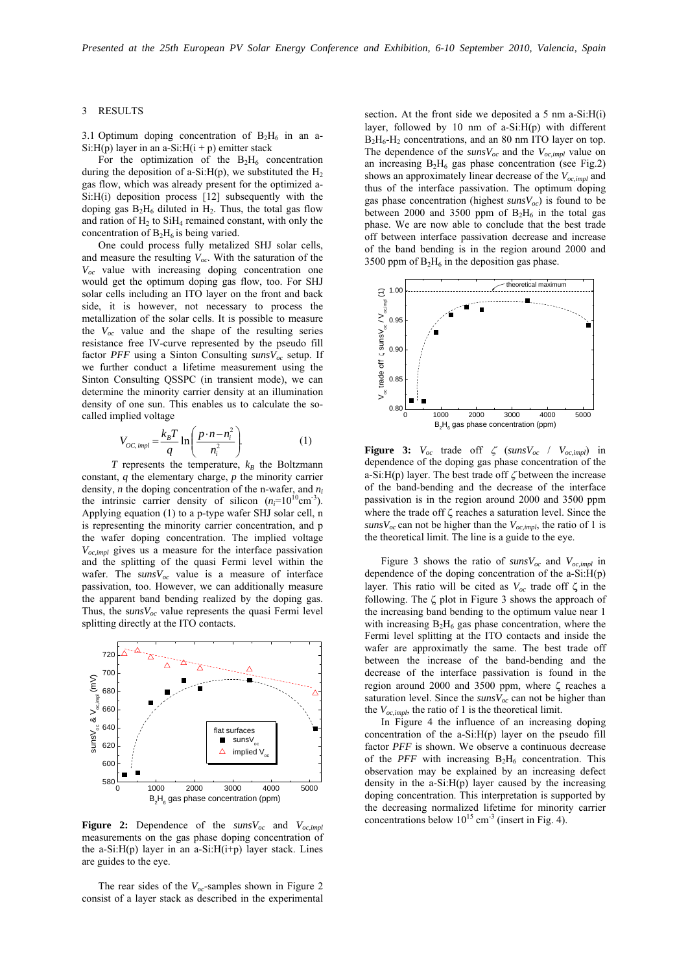### 3 RESULTS

3.1 Optimum doping concentration of  $B_2H_6$  in an a-Si: $H(p)$  layer in an a-Si: $H(i + p)$  emitter stack

For the optimization of the  $B_2H_6$  concentration during the deposition of a-Si: $H(p)$ , we substituted the  $H<sub>2</sub>$ gas flow, which was already present for the optimized a-Si:H(i) deposition process [12] subsequently with the doping gas  $B_2H_6$  diluted in  $H_2$ . Thus, the total gas flow and ration of  $H_2$  to Si $H_4$  remained constant, with only the concentration of  $B_2H_6$  is being varied.

One could process fully metalized SHJ solar cells, and measure the resulting  $V_{oc}$ . With the saturation of the *Voc* value with increasing doping concentration one would get the optimum doping gas flow, too. For SHJ solar cells including an ITO layer on the front and back side, it is however, not necessary to process the metallization of the solar cells. It is possible to measure the *Voc* value and the shape of the resulting series resistance free IV-curve represented by the pseudo fill factor *PFF* using a Sinton Consulting *sunsV<sub>oc</sub>* setup. If we further conduct a lifetime measurement using the Sinton Consulting QSSPC (in transient mode), we can determine the minority carrier density at an illumination density of one sun. This enables us to calculate the socalled implied voltage

$$
V_{OC,impl} = \frac{k_B T}{q} \ln \left( \frac{p \cdot n - n_i^2}{n_i^2} \right).
$$
 (1)

 $T$  represents the temperature,  $k_B$  the Boltzmann constant, *q* the elementary charge, *p* the minority carrier density, *n* the doping concentration of the n-wafer, and *ni* the intrinsic carrier density of silicon  $(n=10^{10} \text{cm}^{-3})$ . Applying equation (1) to a p-type wafer SHJ solar cell, n is representing the minority carrier concentration, and p the wafer doping concentration. The implied voltage *Voc,impl* gives us a measure for the interface passivation and the splitting of the quasi Fermi level within the wafer. The  $\textit{sunsV}_{oc}$  value is a measure of interface passivation, too. However, we can additionally measure the apparent band bending realized by the doping gas. Thus, the  $sunsV_{oc}$  value represents the quasi Fermi level splitting directly at the ITO contacts.



**Figure 2:** Dependence of the  $sunsV_{oc}$  and  $V_{oc,impl}$ measurements on the gas phase doping concentration of the a-Si: $H(p)$  layer in an a-Si: $H(i+p)$  layer stack. Lines are guides to the eye.

The rear sides of the  $V_{oc}$ -samples shown in Figure 2 consist of a layer stack as described in the experimental section. At the front side we deposited a 5 nm a-Si:H(i) layer, followed by 10 nm of  $a-Si:H(p)$  with different  $B_2H_6-H_2$  concentrations, and an 80 nm ITO layer on top. The dependence of the  $\frac{suns}{c}$  and the  $V_{oc,impl}$  value on an increasing  $B_2H_6$  gas phase concentration (see Fig.2) shows an approximately linear decrease of the  $V_{oc,impl}$  and thus of the interface passivation. The optimum doping gas phase concentration (highest  $\textit{sunsV}_{oc}$ ) is found to be between 2000 and 3500 ppm of  $B_2H_6$  in the total gas phase. We are now able to conclude that the best trade off between interface passivation decrease and increase of the band bending is in the region around 2000 and 3500 ppm of  $B_2H_6$  in the deposition gas phase.



**Figure 3:**  $V_{oc}$  trade off  $\zeta$  (*suns* $V_{oc}$  /  $V_{oc,impl}$ ) in dependence of the doping gas phase concentration of the a-Si:H(p) layer. The best trade off  $\zeta$  between the increase of the band-bending and the decrease of the interface passivation is in the region around 2000 and 3500 ppm where the trade off ζ reaches a saturation level. Since the  $sunsV_{oc}$  can not be higher than the  $V_{oc,impl}$ , the ratio of 1 is the theoretical limit. The line is a guide to the eye.

Figure 3 shows the ratio of  $\textit{sunsV}_{oc}$  and  $\textit{V}_{oc,impl}$  in dependence of the doping concentration of the a-Si:H(p) layer. This ratio will be cited as  $V_{oc}$  trade off  $\zeta$  in the following. The ζ plot in Figure 3 shows the approach of the increasing band bending to the optimum value near 1 with increasing  $B_2H_6$  gas phase concentration, where the Fermi level splitting at the ITO contacts and inside the wafer are approximatly the same. The best trade off between the increase of the band-bending and the decrease of the interface passivation is found in the region around 2000 and 3500 ppm, where ζ reaches a saturation level. Since the  $\textit{sunsV}_{oc}$  can not be higher than the  $V_{oc,impl}$ , the ratio of 1 is the theoretical limit.

 In Figure 4 the influence of an increasing doping concentration of the a-Si:H(p) layer on the pseudo fill factor *PFF* is shown. We observe a continuous decrease of the *PFF* with increasing  $B_2H_6$  concentration. This observation may be explained by an increasing defect density in the  $a-Si:H(p)$  layer caused by the increasing doping concentration. This interpretation is supported by the decreasing normalized lifetime for minority carrier concentrations below  $10^{15}$  cm<sup>-3</sup> (insert in Fig. 4).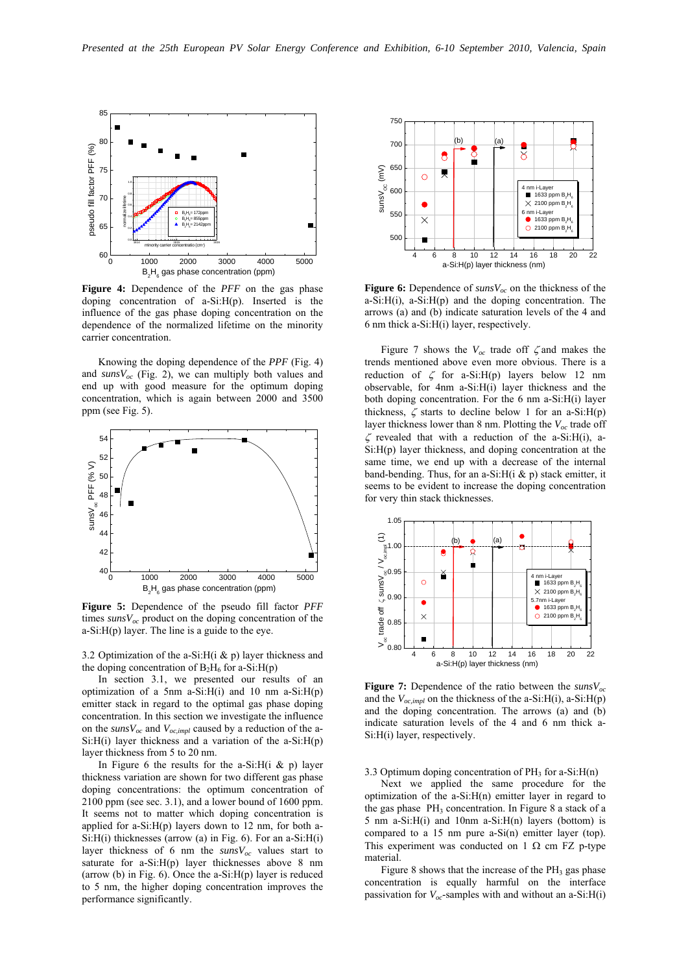

**Figure 4:** Dependence of the *PFF* on the gas phase doping concentration of a-Si:H(p). Inserted is the influence of the gas phase doping concentration on the dependence of the normalized lifetime on the minority carrier concentration.

 Knowing the doping dependence of the *PPF* (Fig. 4) and  $sunsV_{oc}$  (Fig. 2), we can multiply both values and end up with good measure for the optimum doping concentration, which is again between 2000 and 3500 ppm (see Fig. 5).



**Figure 5:** Dependence of the pseudo fill factor *PFF* times  $\frac{suns}{c}$  product on the doping concentration of the a-Si:H(p) layer. The line is a guide to the eye.

3.2 Optimization of the a-Si:H( $i \& p$ ) layer thickness and the doping concentration of  $B_2H_6$  for a-Si:H(p)

 In section 3.1, we presented our results of an optimization of a 5nm a-Si: $H(i)$  and 10 nm a-Si: $H(p)$ emitter stack in regard to the optimal gas phase doping concentration. In this section we investigate the influence on the  $\textit{suny}_{oc}$  and  $V_{oc,impl}$  caused by a reduction of the a- $Si:H(i)$  layer thickness and a variation of the a- $Si:H(p)$ layer thickness from 5 to 20 nm.

In Figure 6 the results for the a-Si:H(i & p) layer thickness variation are shown for two different gas phase doping concentrations: the optimum concentration of 2100 ppm (see sec. 3.1), and a lower bound of 1600 ppm. It seems not to matter which doping concentration is applied for a-Si: $H(p)$  layers down to 12 nm, for both a-Si:H(i) thicknesses (arrow (a) in Fig. 6). For an a-Si:H(i) layer thickness of 6 nm the  $\textit{sunsv}_{oc}$  values start to saturate for a-Si:H(p) layer thicknesses above 8 nm (arrow  $(b)$  in Fig. 6). Once the a-Si: $H(p)$  layer is reduced to 5 nm, the higher doping concentration improves the performance significantly.



**Figure 6:** Dependence of  $\text{sum}V_{ac}$  on the thickness of the  $a-Si:H(i)$ ,  $a-Si:H(p)$  and the doping concentration. The arrows (a) and (b) indicate saturation levels of the 4 and 6 nm thick a-Si:H(i) layer, respectively.

Figure 7 shows the  $V_{oc}$  trade off  $\zeta$  and makes the trends mentioned above even more obvious. There is a reduction of  $\zeta$  for a-Si:H(p) layers below 12 nm observable, for 4nm a-Si:H(i) layer thickness and the both doping concentration. For the 6 nm a-Si:H(i) layer thickness,  $\zeta$  starts to decline below 1 for an a-Si:H(p) layer thickness lower than 8 nm. Plotting the  $V_{\alpha}$  trade off  $\zeta$  revealed that with a reduction of the a-Si:H(i), a-Si:H(p) layer thickness, and doping concentration at the same time, we end up with a decrease of the internal band-bending. Thus, for an a-Si:H(i  $\&$  p) stack emitter, it seems to be evident to increase the doping concentration for very thin stack thicknesses.



**Figure 7:** Dependence of the ratio between the  $\text{sunsV}_{oc}$ and the  $V_{oc,impl}$  on the thickness of the a-Si:H(i), a-Si:H(p) and the doping concentration. The arrows (a) and (b) indicate saturation levels of the 4 and 6 nm thick a-Si:H(i) layer, respectively.

3.3 Optimum doping concentration of  $PH_3$  for a-Si: $H(n)$ 

 Next we applied the same procedure for the optimization of the a-Si:H(n) emitter layer in regard to the gas phase  $PH_3$  concentration. In Figure 8 a stack of a 5 nm a-Si:H(i) and 10nm a-Si:H(n) layers (bottom) is compared to a 15 nm pure a-Si(n) emitter layer (top). This experiment was conducted on 1  $\Omega$  cm FZ p-type material.

Figure 8 shows that the increase of the  $PH_3$  gas phase concentration is equally harmful on the interface passivation for  $V_{oc}$ -samples with and without an a-Si: $H(i)$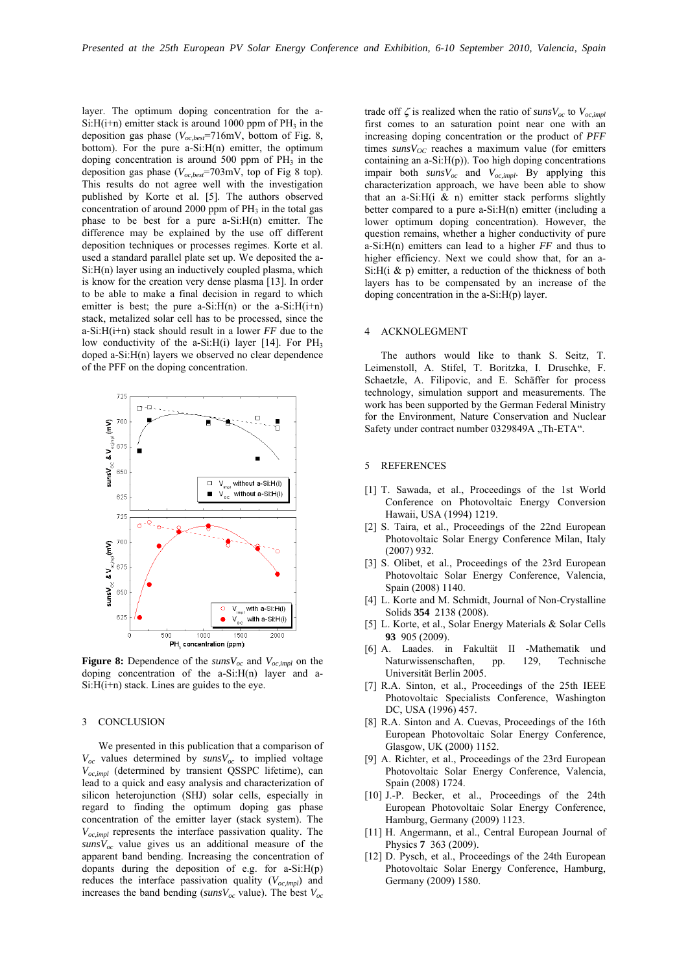layer. The optimum doping concentration for the a- $Si:H(i+n)$  emitter stack is around 1000 ppm of PH<sub>3</sub> in the deposition gas phase (*Voc,best*=716mV, bottom of Fig. 8, bottom). For the pure  $a-Si:H(n)$  emitter, the optimum doping concentration is around 500 ppm of  $PH_3$  in the deposition gas phase (*Voc,best*=703mV, top of Fig 8 top). This results do not agree well with the investigation published by Korte et al. [5]. The authors observed concentration of around 2000 ppm of  $PH_3$  in the total gas phase to be best for a pure a-Si:H(n) emitter. The difference may be explained by the use off different deposition techniques or processes regimes. Korte et al. used a standard parallel plate set up. We deposited the a-Si:H(n) layer using an inductively coupled plasma, which is know for the creation very dense plasma [13]. In order to be able to make a final decision in regard to which emitter is best; the pure a-Si: $H(n)$  or the a-Si: $H(i+n)$ stack, metalized solar cell has to be processed, since the a-Si:H(i+n) stack should result in a lower *FF* due to the low conductivity of the a-Si: $H(i)$  layer [14]. For PH<sub>3</sub> doped a-Si:H(n) layers we observed no clear dependence of the PFF on the doping concentration.



**Figure 8:** Dependence of the  $\text{sunsV}_{oc}$  and  $V_{oc,impl}$  on the doping concentration of the a-Si:H(n) layer and a-Si:H(i+n) stack. Lines are guides to the eye.

### 3 CONCLUSION

 We presented in this publication that a comparison of  $V_{oc}$  values determined by  $sunsV_{oc}$  to implied voltage *Voc,impl* (determined by transient QSSPC lifetime), can lead to a quick and easy analysis and characterization of silicon heterojunction (SHJ) solar cells, especially in regard to finding the optimum doping gas phase concentration of the emitter layer (stack system). The *Voc,impl* represents the interface passivation quality. The  $sunsV_{oc}$  value gives us an additional measure of the apparent band bending. Increasing the concentration of dopants during the deposition of e.g. for  $a-Si:H(p)$ reduces the interface passivation quality  $(V_{oc,impl})$  and increases the band bending ( $\textit{sunsV}_{oc}$  value). The best  $V_{oc}$ 

trade off  $\zeta$  is realized when the ratio of  $\textit{sunsV}_{oc}$  to  $V_{oc,impl}$ first comes to an saturation point near one with an increasing doping concentration or the product of *PFF* times  $\frac{sunsV_{OC}}{r}$  reaches a maximum value (for emitters containing an a-Si:H(p)). Too high doping concentrations impair both *sunsVoc* and *Voc,impl*. By applying this characterization approach, we have been able to show that an a-Si: $H(i \& n)$  emitter stack performs slightly better compared to a pure a-Si:H(n) emitter (including a lower optimum doping concentration). However, the question remains, whether a higher conductivity of pure a-Si:H(n) emitters can lead to a higher *FF* and thus to higher efficiency. Next we could show that, for an a-Si: $H(i \& p)$  emitter, a reduction of the thickness of both layers has to be compensated by an increase of the doping concentration in the a-Si:H(p) layer.

# 4 ACKNOLEGMENT

 The authors would like to thank S. Seitz, T. Leimenstoll, A. Stifel, T. Boritzka, I. Druschke, F. Schaetzle, A. Filipovic, and E. Schäffer for process technology, simulation support and measurements. The work has been supported by the German Federal Ministry for the Environment, Nature Conservation and Nuclear Safety under contract number 0329849A "Th-ETA".

## 5 REFERENCES

- [1] T. Sawada, et al., Proceedings of the 1st World Conference on Photovoltaic Energy Conversion Hawaii, USA (1994) 1219.
- [2] S. Taira, et al., Proceedings of the 22nd European Photovoltaic Solar Energy Conference Milan, Italy (2007) 932.
- [3] S. Olibet, et al., Proceedings of the 23rd European Photovoltaic Solar Energy Conference, Valencia, Spain (2008) 1140.
- [4] L. Korte and M. Schmidt, Journal of Non-Crystalline Solids **354** 2138 (2008).
- [5] L. Korte, et al., Solar Energy Materials & Solar Cells **93** 905 (2009).
- [6] A. Laades. in Fakultät II -Mathematik und Naturwissenschaften, pp. 129, Technische Universität Berlin 2005.
- [7] R.A. Sinton, et al., Proceedings of the 25th IEEE Photovoltaic Specialists Conference, Washington DC, USA (1996) 457.
- [8] R.A. Sinton and A. Cuevas, Proceedings of the 16th European Photovoltaic Solar Energy Conference, Glasgow, UK (2000) 1152.
- [9] A. Richter, et al., Proceedings of the 23rd European Photovoltaic Solar Energy Conference, Valencia, Spain (2008) 1724.
- [10] J.-P. Becker, et al., Proceedings of the 24th European Photovoltaic Solar Energy Conference, Hamburg, Germany (2009) 1123.
- [11] H. Angermann, et al., Central European Journal of Physics **7** 363 (2009).
- [12] D. Pysch, et al., Proceedings of the 24th European Photovoltaic Solar Energy Conference, Hamburg, Germany (2009) 1580.